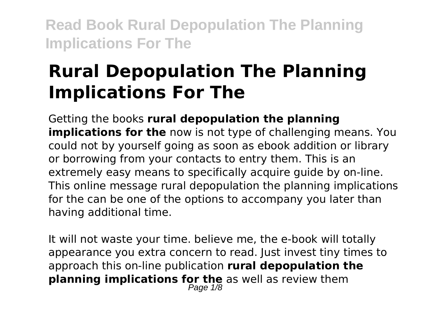# **Rural Depopulation The Planning Implications For The**

Getting the books **rural depopulation the planning implications for the** now is not type of challenging means. You could not by yourself going as soon as ebook addition or library or borrowing from your contacts to entry them. This is an extremely easy means to specifically acquire guide by on-line. This online message rural depopulation the planning implications for the can be one of the options to accompany you later than having additional time.

It will not waste your time. believe me, the e-book will totally appearance you extra concern to read. Just invest tiny times to approach this on-line publication **rural depopulation the planning implications for the** as well as review them Page  $1/8$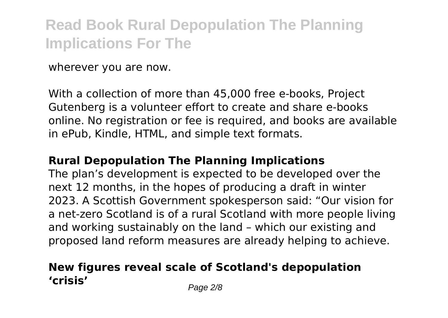wherever you are now.

With a collection of more than 45,000 free e-books, Project Gutenberg is a volunteer effort to create and share e-books online. No registration or fee is required, and books are available in ePub, Kindle, HTML, and simple text formats.

#### **Rural Depopulation The Planning Implications**

The plan's development is expected to be developed over the next 12 months, in the hopes of producing a draft in winter 2023. A Scottish Government spokesperson said: "Our vision for a net-zero Scotland is of a rural Scotland with more people living and working sustainably on the land – which our existing and proposed land reform measures are already helping to achieve.

### **New figures reveal scale of Scotland's depopulation 'crisis'** Page 2/8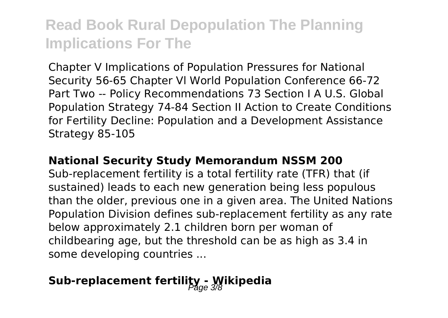Chapter V Implications of Population Pressures for National Security 56-65 Chapter Vl World Population Conference 66-72 Part Two -- Policy Recommendations 73 Section I A U.S. Global Population Strategy 74-84 Section II Action to Create Conditions for Fertility Decline: Population and a Development Assistance Strategy 85-105

#### **National Security Study Memorandum NSSM 200**

Sub-replacement fertility is a total fertility rate (TFR) that (if sustained) leads to each new generation being less populous than the older, previous one in a given area. The United Nations Population Division defines sub-replacement fertility as any rate below approximately 2.1 children born per woman of childbearing age, but the threshold can be as high as 3.4 in some developing countries ...

### **Sub-replacement fertility - Wikipedia**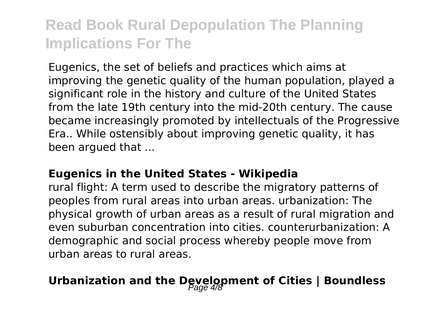Eugenics, the set of beliefs and practices which aims at improving the genetic quality of the human population, played a significant role in the history and culture of the United States from the late 19th century into the mid-20th century. The cause became increasingly promoted by intellectuals of the Progressive Era.. While ostensibly about improving genetic quality, it has been argued that ...

#### **Eugenics in the United States - Wikipedia**

rural flight: A term used to describe the migratory patterns of peoples from rural areas into urban areas. urbanization: The physical growth of urban areas as a result of rural migration and even suburban concentration into cities. counterurbanization: A demographic and social process whereby people move from urban areas to rural areas.

### Urbanization and the Development of Cities | Boundless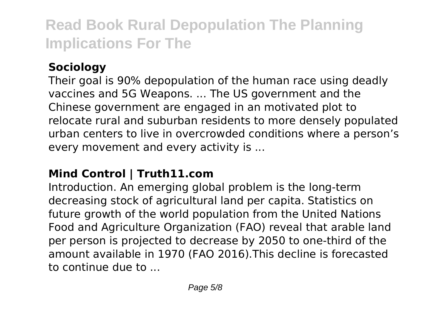#### **Sociology**

Their goal is 90% depopulation of the human race using deadly vaccines and 5G Weapons. ... The US government and the Chinese government are engaged in an motivated plot to relocate rural and suburban residents to more densely populated urban centers to live in overcrowded conditions where a person's every movement and every activity is ...

#### **Mind Control | Truth11.com**

Introduction. An emerging global problem is the long-term decreasing stock of agricultural land per capita. Statistics on future growth of the world population from the United Nations Food and Agriculture Organization (FAO) reveal that arable land per person is projected to decrease by 2050 to one-third of the amount available in 1970 (FAO 2016).This decline is forecasted to continue due to ...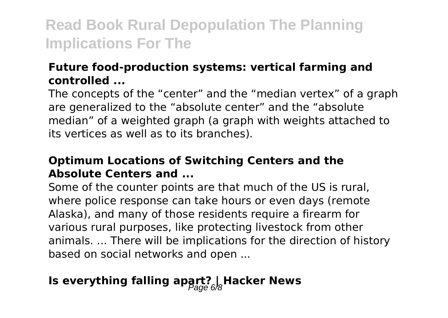#### **Future food-production systems: vertical farming and controlled ...**

The concepts of the "center" and the "median vertex" of a graph are generalized to the "absolute center" and the "absolute median" of a weighted graph (a graph with weights attached to its vertices as well as to its branches).

#### **Optimum Locations of Switching Centers and the Absolute Centers and ...**

Some of the counter points are that much of the US is rural, where police response can take hours or even days (remote Alaska), and many of those residents require a firearm for various rural purposes, like protecting livestock from other animals. ... There will be implications for the direction of history based on social networks and open ...

### **Is everything falling apart? Hacker News**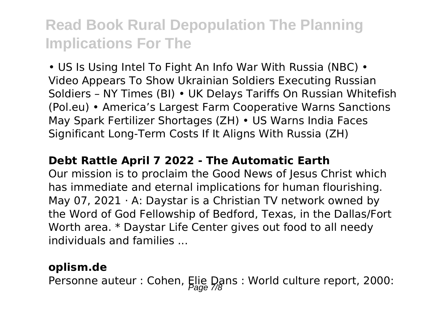• US Is Using Intel To Fight An Info War With Russia (NBC) • Video Appears To Show Ukrainian Soldiers Executing Russian Soldiers – NY Times (BI) • UK Delays Tariffs On Russian Whitefish (Pol.eu) • America's Largest Farm Cooperative Warns Sanctions May Spark Fertilizer Shortages (ZH) • US Warns India Faces Significant Long-Term Costs If It Aligns With Russia (ZH)

#### **Debt Rattle April 7 2022 - The Automatic Earth**

Our mission is to proclaim the Good News of Jesus Christ which has immediate and eternal implications for human flourishing. May 07, 2021 · A: Daystar is a Christian TV network owned by the Word of God Fellowship of Bedford, Texas, in the Dallas/Fort Worth area. \* Daystar Life Center gives out food to all needy individuals and families ...

#### **oplism.de**

Personne auteur : Cohen, Elie Dans : World culture report, 2000: